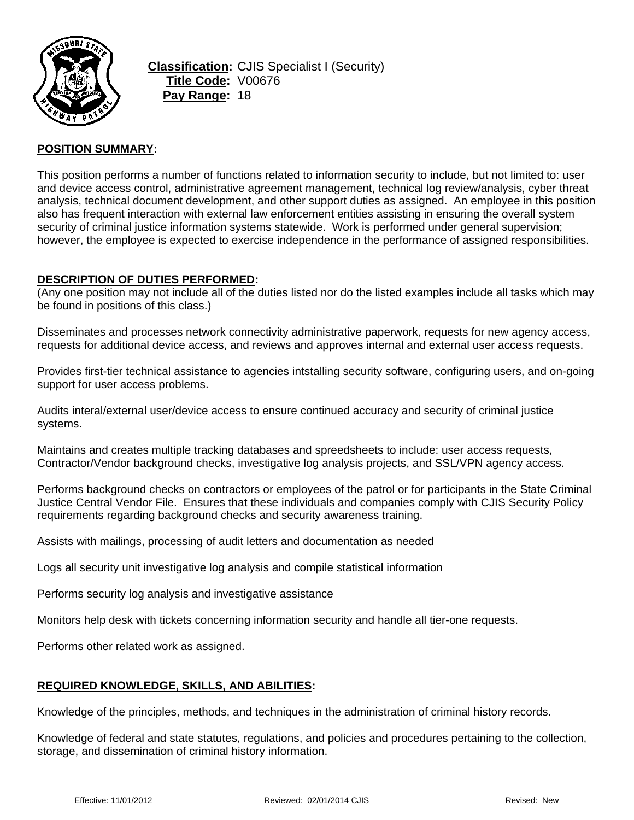

**Classification:** CJIS Specialist I (Security) **Title Code:** V00676 **Pay Range:** 18

### **POSITION SUMMARY:**

This position performs a number of functions related to information security to include, but not limited to: user and device access control, administrative agreement management, technical log review/analysis, cyber threat analysis, technical document development, and other support duties as assigned. An employee in this position also has frequent interaction with external law enforcement entities assisting in ensuring the overall system security of criminal justice information systems statewide. Work is performed under general supervision; however, the employee is expected to exercise independence in the performance of assigned responsibilities.

#### **DESCRIPTION OF DUTIES PERFORMED:**

(Any one position may not include all of the duties listed nor do the listed examples include all tasks which may be found in positions of this class.)

Disseminates and processes network connectivity administrative paperwork, requests for new agency access, requests for additional device access, and reviews and approves internal and external user access requests.

Provides first-tier technical assistance to agencies intstalling security software, configuring users, and on-going support for user access problems.

Audits interal/external user/device access to ensure continued accuracy and security of criminal justice systems.

Maintains and creates multiple tracking databases and spreedsheets to include: user access requests, Contractor/Vendor background checks, investigative log analysis projects, and SSL/VPN agency access.

Performs background checks on contractors or employees of the patrol or for participants in the State Criminal Justice Central Vendor File. Ensures that these individuals and companies comply with CJIS Security Policy requirements regarding background checks and security awareness training.

Assists with mailings, processing of audit letters and documentation as needed

Logs all security unit investigative log analysis and compile statistical information

Performs security log analysis and investigative assistance

Monitors help desk with tickets concerning information security and handle all tier-one requests.

Performs other related work as assigned.

### **REQUIRED KNOWLEDGE, SKILLS, AND ABILITIES:**

Knowledge of the principles, methods, and techniques in the administration of criminal history records.

Knowledge of federal and state statutes, regulations, and policies and procedures pertaining to the collection, storage, and dissemination of criminal history information.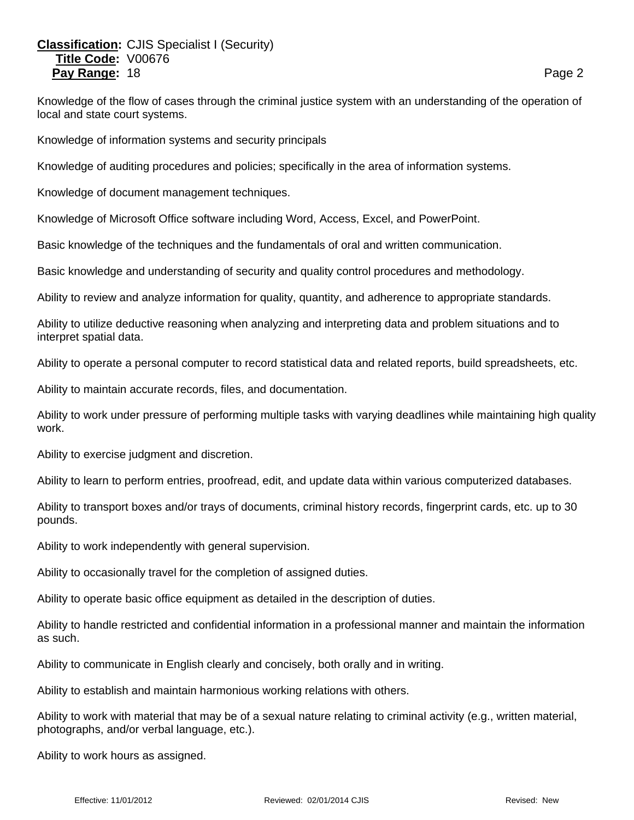# **Classification:** CJIS Specialist I (Security) **Title Code:** V00676 **Pay Range:** 18 **Page 2 Page 2 Page 2 Page 2 Page 2**

Knowledge of the flow of cases through the criminal justice system with an understanding of the operation of local and state court systems.

Knowledge of information systems and security principals

Knowledge of auditing procedures and policies; specifically in the area of information systems.

Knowledge of document management techniques.

Knowledge of Microsoft Office software including Word, Access, Excel, and PowerPoint.

Basic knowledge of the techniques and the fundamentals of oral and written communication.

Basic knowledge and understanding of security and quality control procedures and methodology.

Ability to review and analyze information for quality, quantity, and adherence to appropriate standards.

Ability to utilize deductive reasoning when analyzing and interpreting data and problem situations and to interpret spatial data.

Ability to operate a personal computer to record statistical data and related reports, build spreadsheets, etc.

Ability to maintain accurate records, files, and documentation.

Ability to work under pressure of performing multiple tasks with varying deadlines while maintaining high quality work.

Ability to exercise judgment and discretion.

Ability to learn to perform entries, proofread, edit, and update data within various computerized databases.

Ability to transport boxes and/or trays of documents, criminal history records, fingerprint cards, etc. up to 30 pounds.

Ability to work independently with general supervision.

Ability to occasionally travel for the completion of assigned duties.

Ability to operate basic office equipment as detailed in the description of duties.

Ability to handle restricted and confidential information in a professional manner and maintain the information as such.

Ability to communicate in English clearly and concisely, both orally and in writing.

Ability to establish and maintain harmonious working relations with others.

Ability to work with material that may be of a sexual nature relating to criminal activity (e.g., written material, photographs, and/or verbal language, etc.).

Ability to work hours as assigned.